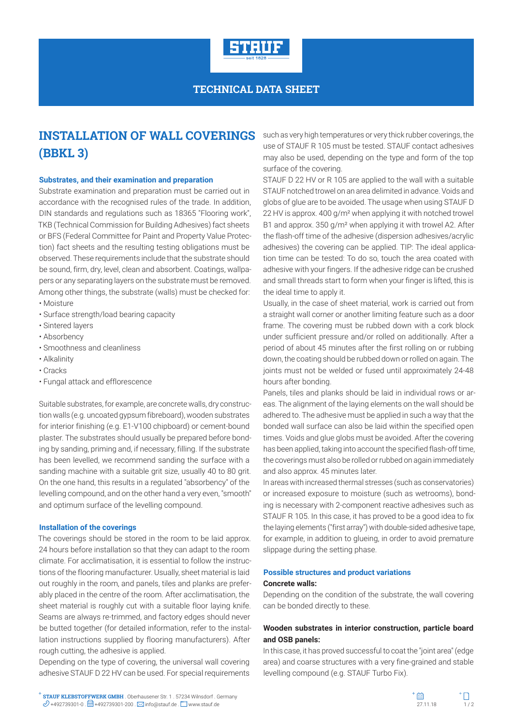

### **TECHNICAL DATA SHEET**

# **INSTALLATION OF WALL COVERINGS (BBKL 3)**

#### **Substrates, and their examination and preparation**

Substrate examination and preparation must be carried out in accordance with the recognised rules of the trade. In addition, DIN standards and regulations such as 18365 "Flooring work", TKB (Technical Commission for Building Adhesives) fact sheets or BFS (Federal Committee for Paint and Property Value Protection) fact sheets and the resulting testing obligations must be observed. These requirements include that the substrate should be sound, firm, dry, level, clean and absorbent. Coatings, wallpapers or any separating layers on the substrate must be removed. Among other things, the substrate (walls) must be checked for: • Moisture

- Surface strength/load bearing capacity
- Sintered layers
- Absorbency
- Smoothness and cleanliness
- Alkalinity
- Cracks
- Fungal attack and efflorescence

Suitable substrates, for example, are concrete walls, dry construction walls (e.g. uncoated gypsum fibreboard), wooden substrates for interior finishing (e.g. E1-V100 chipboard) or cement-bound plaster. The substrates should usually be prepared before bonding by sanding, priming and, if necessary, filling. If the substrate has been levelled, we recommend sanding the surface with a sanding machine with a suitable grit size, usually 40 to 80 grit. On the one hand, this results in a regulated "absorbency" of the levelling compound, and on the other hand a very even, "smooth" and optimum surface of the levelling compound.

#### **Installation of the coverings**

The coverings should be stored in the room to be laid approx. 24 hours before installation so that they can adapt to the room climate. For acclimatisation, it is essential to follow the instructions of the flooring manufacturer. Usually, sheet material is laid out roughly in the room, and panels, tiles and planks are preferably placed in the centre of the room. After acclimatisation, the sheet material is roughly cut with a suitable floor laying knife. Seams are always re-trimmed, and factory edges should never be butted together (for detailed information, refer to the installation instructions supplied by flooring manufacturers). After rough cutting, the adhesive is applied.

Depending on the type of covering, the universal wall covering adhesive STAUF D 22 HV can be used. For special requirements such as very high temperatures or very thick rubber coverings, the use of STAUF R 105 must be tested. STAUF contact adhesives may also be used, depending on the type and form of the top surface of the covering.

STAUF D 22 HV or R 105 are applied to the wall with a suitable STAUF notched trowel on an area delimited in advance. Voids and globs of glue are to be avoided. The usage when using STAUF D 22 HV is approx. 400 g/m² when applying it with notched trowel B1 and approx. 350 g/m² when applying it with trowel A2. After the flash-off time of the adhesive (dispersion adhesives/acrylic adhesives) the covering can be applied. TIP: The ideal application time can be tested: To do so, touch the area coated with adhesive with your fingers. If the adhesive ridge can be crushed and small threads start to form when your finger is lifted, this is the ideal time to apply it.

Usually, in the case of sheet material, work is carried out from a straight wall corner or another limiting feature such as a door frame. The covering must be rubbed down with a cork block under sufficient pressure and/or rolled on additionally. After a period of about 45 minutes after the first rolling on or rubbing down, the coating should be rubbed down or rolled on again. The joints must not be welded or fused until approximately 24-48 hours after bonding.

Panels, tiles and planks should be laid in individual rows or areas. The alignment of the laying elements on the wall should be adhered to. The adhesive must be applied in such a way that the bonded wall surface can also be laid within the specified open times. Voids and glue globs must be avoided. After the covering has been applied, taking into account the specified flash-off time, the coverings must also be rolled or rubbed on again immediately and also approx. 45 minutes later.

In areas with increased thermal stresses (such as conservatories) or increased exposure to moisture (such as wetrooms), bonding is necessary with 2-component reactive adhesives such as STAUF R 105. In this case, it has proved to be a good idea to fix the laying elements ("first array") with double-sided adhesive tape, for example, in addition to glueing, in order to avoid premature slippage during the setting phase.

## **Possible structures and product variations**

#### **Concrete walls:**

Depending on the condition of the substrate, the wall covering can be bonded directly to these.

### **Wooden substrates in interior construction, particle board and OSB panels:**

In this case, it has proved successful to coat the "joint area" (edge area) and coarse structures with a very fine-grained and stable levelling compound (e.g. STAUF Turbo Fix).